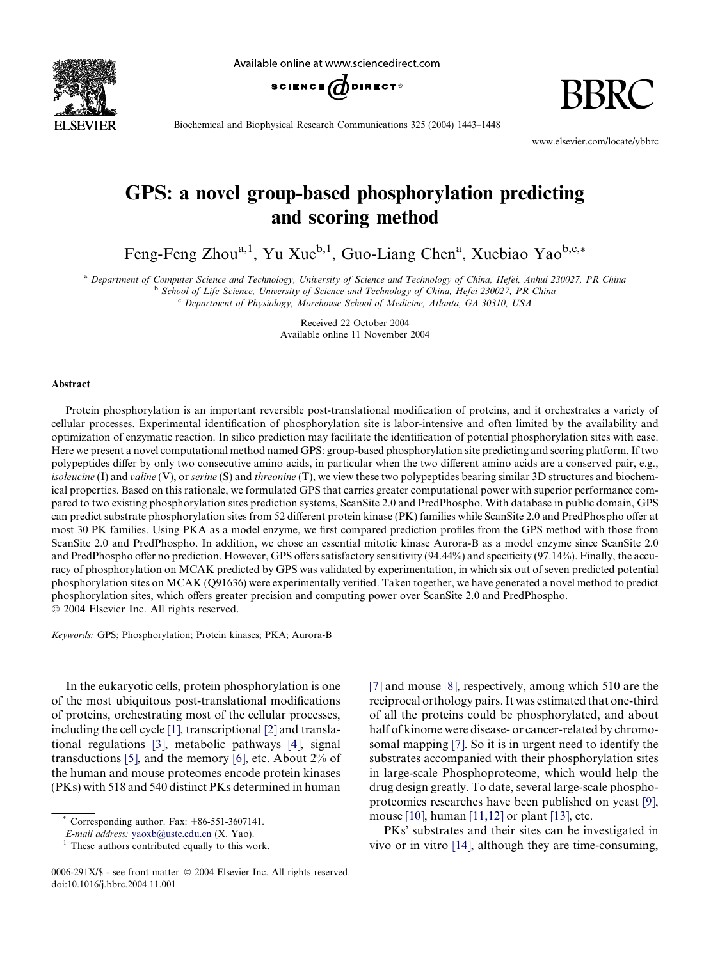

Available online at www.sciencedirect.com



BBRC

Biochemical and Biophysical Research Communications 325 (2004) 1443–1448

www.elsevier.com/locate/ybbrc

# GPS: a novel group-based phosphorylation predicting and scoring method

Feng-Feng Zhou<sup>a,1</sup>, Yu Xue<sup>b,1</sup>, Guo-Liang Chen<sup>a</sup>, Xuebiao Yao<sup>b,c,\*</sup>

a Department of Computer Science and Technology, University of Science and Technology of China, Hefei, Anhui 230027, PR China <sup>b</sup> School of Life Science, University of Science and Technology of China, Hefei 230027, PR China

<sup>c</sup> Department of Physiology, Morehouse School of Medicine, Atlanta, GA 30310, USA

Received 22 October 2004 Available online 11 November 2004

#### Abstract

Protein phosphorylation is an important reversible post-translational modification of proteins, and it orchestrates a variety of cellular processes. Experimental identification of phosphorylation site is labor-intensive and often limited by the availability and optimization of enzymatic reaction. In silico prediction may facilitate the identification of potential phosphorylation sites with ease. Here we present a novel computational method named GPS: group-based phosphorylation site predicting and scoring platform. If two polypeptides differ by only two consecutive amino acids, in particular when the two different amino acids are a conserved pair, e.g., isoleucine (I) and valine (V), or serine  $(S)$  and threonine (T), we view these two polypeptides bearing similar 3D structures and biochemical properties. Based on this rationale, we formulated GPS that carries greater computational power with superior performance compared to two existing phosphorylation sites prediction systems, ScanSite 2.0 and PredPhospho. With database in public domain, GPS can predict substrate phosphorylation sites from 52 different protein kinase (PK) families while ScanSite 2.0 and PredPhospho offer at most 30 PK families. Using PKA as a model enzyme, we first compared prediction profiles from the GPS method with those from ScanSite 2.0 and PredPhospho. In addition, we chose an essential mitotic kinase Aurora-B as a model enzyme since ScanSite 2.0 and PredPhospho offer no prediction. However, GPS offers satisfactory sensitivity (94.44%) and specificity (97.14%). Finally, the accuracy of phosphorylation on MCAK predicted by GPS was validated by experimentation, in which six out of seven predicted potential phosphorylation sites on MCAK (Q91636) were experimentally verified. Taken together, we have generated a novel method to predict phosphorylation sites, which offers greater precision and computing power over ScanSite 2.0 and PredPhospho. 2004 Elsevier Inc. All rights reserved.

Keywords: GPS; Phosphorylation; Protein kinases; PKA; Aurora-B

In the eukaryotic cells, protein phosphorylation is one of the most ubiquitous post-translational modifications of proteins, orchestrating most of the cellular processes, including the cell cycle [\[1\],](#page-4-0) transcriptional [\[2\]](#page-4-0) and translational regulations [\[3\]](#page-4-0), metabolic pathways [\[4\]](#page-4-0), signal transductions [\[5\],](#page-4-0) and the memory [\[6\],](#page-4-0) etc. About 2% of the human and mouse proteomes encode protein kinases (PKs) with 518 and 540 distinct PKs determined in human

[\[7\]](#page-4-0) and mouse [\[8\],](#page-4-0) respectively, among which 510 are the reciprocal orthology pairs. It was estimated that one-third of all the proteins could be phosphorylated, and about half of kinome were disease- or cancer-related by chromosomal mapping [\[7\]](#page-4-0). So it is in urgent need to identify the substrates accompanied with their phosphorylation sites in large-scale Phosphoproteome, which would help the drug design greatly. To date, several large-scale phosphoproteomics researches have been published on yeast [\[9\],](#page-4-0) mouse [\[10\],](#page-4-0) human [\[11,12\]](#page-4-0) or plant [\[13\],](#page-4-0) etc.

PKs' substrates and their sites can be investigated in vivo or in vitro [\[14\]](#page-4-0), although they are time-consuming,

Corresponding author. Fax:  $+86-551-3607141$ .

E-mail address: [yaoxb@ustc.edu.cn](mailto:yaoxb@ustc.edu.cn ) (X. Yao).<br><sup>1</sup> These authors contributed equally to this work.

<sup>0006-291</sup>X/\$ - see front matter  $\odot$  2004 Elsevier Inc. All rights reserved. doi:10.1016/j.bbrc.2004.11.001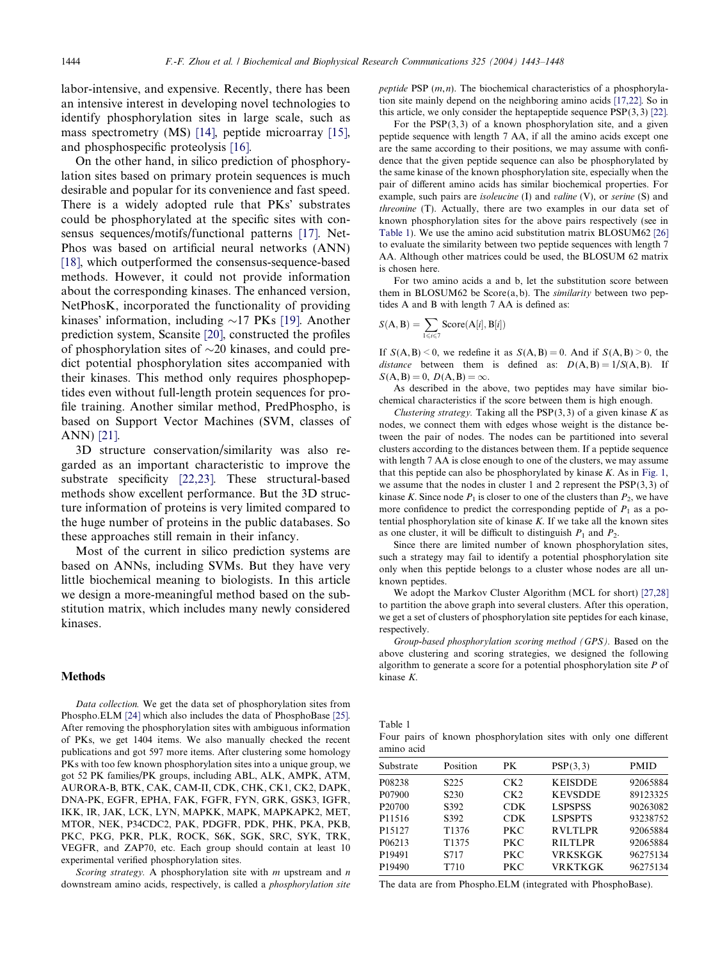labor-intensive, and expensive. Recently, there has been an intensive interest in developing novel technologies to identify phosphorylation sites in large scale, such as mass spectrometry (MS) [\[14\]](#page-4-0), peptide microarray [\[15\]](#page-4-0), and phosphospecific proteolysis [\[16\].](#page-4-0)

On the other hand, in silico prediction of phosphorylation sites based on primary protein sequences is much desirable and popular for its convenience and fast speed. There is a widely adopted rule that PKs' substrates could be phosphorylated at the specific sites with consensus sequences/motifs/functional patterns [\[17\].](#page-4-0) Net-Phos was based on artificial neural networks (ANN) [\[18\]](#page-4-0), which outperformed the consensus-sequence-based methods. However, it could not provide information about the corresponding kinases. The enhanced version, NetPhosK, incorporated the functionality of providing kinases' information, including  $\sim$ 17 PKs [\[19\]](#page-5-0). Another prediction system, Scansite [\[20\]](#page-5-0), constructed the profiles of phosphorylation sites of  $\sim$ 20 kinases, and could predict potential phosphorylation sites accompanied with their kinases. This method only requires phosphopeptides even without full-length protein sequences for profile training. Another similar method, PredPhospho, is based on Support Vector Machines (SVM, classes of ANN) [\[21\].](#page-5-0)

3D structure conservation/similarity was also regarded as an important characteristic to improve the substrate specificity [\[22,23\]](#page-5-0). These structural-based methods show excellent performance. But the 3D structure information of proteins is very limited compared to the huge number of proteins in the public databases. So these approaches still remain in their infancy.

Most of the current in silico prediction systems are based on ANNs, including SVMs. But they have very little biochemical meaning to biologists. In this article we design a more-meaningful method based on the substitution matrix, which includes many newly considered kinases.

#### Methods

Data collection. We get the data set of phosphorylation sites from Phospho.ELM [\[24\]](#page-5-0) which also includes the data of PhosphoBase [\[25\].](#page-5-0) After removing the phosphorylation sites with ambiguous information of PKs, we get 1404 items. We also manually checked the recent publications and got 597 more items. After clustering some homology PKs with too few known phosphorylation sites into a unique group, we got 52 PK families/PK groups, including ABL, ALK, AMPK, ATM, AURORA-B, BTK, CAK, CAM-II, CDK, CHK, CK1, CK2, DAPK, DNA-PK, EGFR, EPHA, FAK, FGFR, FYN, GRK, GSK3, IGFR, IKK, IR, JAK, LCK, LYN, MAPKK, MAPK, MAPKAPK2, MET, MTOR, NEK, P34CDC2, PAK, PDGFR, PDK, PHK, PKA, PKB, PKC, PKG, PKR, PLK, ROCK, S6K, SGK, SRC, SYK, TRK, VEGFR, and ZAP70, etc. Each group should contain at least 10 experimental verified phosphorylation sites.

Scoring strategy. A phosphorylation site with  $m$  upstream and  $n$ downstream amino acids, respectively, is called a phosphorylation site peptide PSP  $(m, n)$ . The biochemical characteristics of a phosphorylation site mainly depend on the neighboring amino acids [\[17,22\]](#page-4-0). So in this article, we only consider the heptapeptide sequence  $PSP(3, 3)$  [\[22\].](#page-5-0)

For the  $PSP(3, 3)$  of a known phosphorylation site, and a given peptide sequence with length 7 AA, if all the amino acids except one are the same according to their positions, we may assume with confidence that the given peptide sequence can also be phosphorylated by the same kinase of the known phosphorylation site, especially when the pair of different amino acids has similar biochemical properties. For example, such pairs are *isoleucine* (I) and *valine* (V), or *serine* (S) and threonine (T). Actually, there are two examples in our data set of known phosphorylation sites for the above pairs respectively (see in Table 1). We use the amino acid substitution matrix BLOSUM62 [\[26\]](#page-5-0) to evaluate the similarity between two peptide sequences with length 7 AA. Although other matrices could be used, the BLOSUM 62 matrix is chosen here.

For two amino acids a and b, let the substitution score between them in BLOSUM62 be Score $(a, b)$ . The *similarity* between two peptides A and B with length 7 AA is defined as:

$$
S(A, B) = \sum_{1 \le i \le 7} \text{Score}(A[i], B[i])
$$

Table 1

If  $S(A, B) \le 0$ , we redefine it as  $S(A, B) = 0$ . And if  $S(A, B) \ge 0$ , the distance between them is defined as:  $D(A, B) = 1/S(A, B)$ . If  $S(A, B) = 0$ ,  $D(A, B) = \infty$ .

As described in the above, two peptides may have similar biochemical characteristics if the score between them is high enough.

Clustering strategy. Taking all the  $PSP(3, 3)$  of a given kinase K as nodes, we connect them with edges whose weight is the distance between the pair of nodes. The nodes can be partitioned into several clusters according to the distances between them. If a peptide sequence with length 7 AA is close enough to one of the clusters, we may assume that this peptide can also be phosphorylated by kinase  $K$ . As in [Fig. 1,](#page-2-0) we assume that the nodes in cluster 1 and 2 represent the  $PSP(3,3)$  of kinase K. Since node  $P_1$  is closer to one of the clusters than  $P_2$ , we have more confidence to predict the corresponding peptide of  $P_1$  as a potential phosphorylation site of kinase  $K$ . If we take all the known sites as one cluster, it will be difficult to distinguish  $P_1$  and  $P_2$ .

Since there are limited number of known phosphorylation sites, such a strategy may fail to identify a potential phosphorylation site only when this peptide belongs to a cluster whose nodes are all unknown peptides.

We adopt the Markov Cluster Algorithm (MCL for short) [\[27,28\]](#page-5-0) to partition the above graph into several clusters. After this operation, we get a set of clusters of phosphorylation site peptides for each kinase, respectively.

Group-based phosphorylation scoring method (GPS). Based on the above clustering and scoring strategies, we designed the following algorithm to generate a score for a potential phosphorylation site  $P$  of kinase K.

|            |  | Four pairs of known phosphorylation sites with only one different |  |  |  |
|------------|--|-------------------------------------------------------------------|--|--|--|
| amino acid |  |                                                                   |  |  |  |

| Substrate          | Position          | PK.             | PSP(3,3)       | <b>PMID</b> |
|--------------------|-------------------|-----------------|----------------|-------------|
| P08238             | S <sub>225</sub>  | CK <sub>2</sub> | <b>KEISDDE</b> | 92065884    |
| P07900             | S <sub>230</sub>  | CK <sub>2</sub> | <b>KEVSDDE</b> | 89123325    |
| P <sub>20700</sub> | S <sub>392</sub>  | CDK             | <b>LSPSPSS</b> | 90263082    |
| P11516             | S392              | CDK.            | <b>LSPSPTS</b> | 93238752    |
| P <sub>15127</sub> | T <sub>1376</sub> | PKC             | <b>RVLTLPR</b> | 92065884    |
| P <sub>06213</sub> | T <sub>1375</sub> | PKC             | <b>RILTLPR</b> | 92065884    |
| P19491             | S717              | PKC             | VRKSKGK        | 96275134    |
| P19490             | T710              | PKC             | VRKTKGK        | 96275134    |
|                    |                   |                 |                |             |

The data are from Phospho.ELM (integrated with PhosphoBase).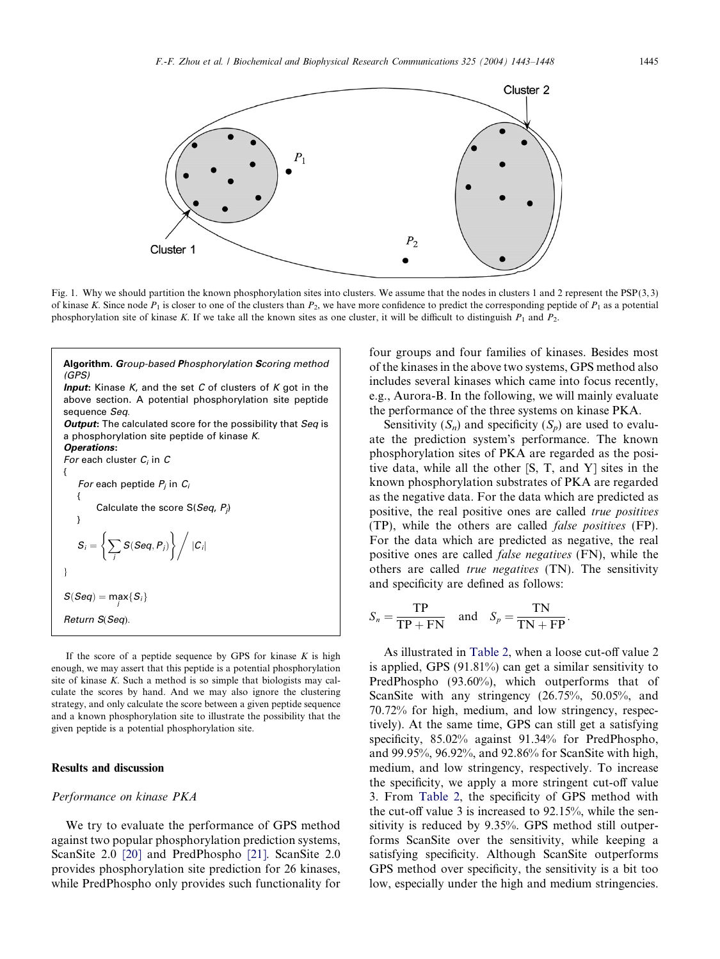<span id="page-2-0"></span>

Fig. 1. Why we should partition the known phosphorylation sites into clusters. We assume that the nodes in clusters 1 and 2 represent the PSP (3, 3) of kinase K. Since node  $P_1$  is closer to one of the clusters than  $P_2$ , we have more confidence to predict the corresponding peptide of  $P_1$  as a potential phosphorylation site of kinase K. If we take all the known sites as one cluster, it will be difficult to distinguish  $P_1$  and  $P_2$ .

| <b>Algorithm. Group-based Phosphorylation Scoring method</b><br>(GPS)                                                                                 |
|-------------------------------------------------------------------------------------------------------------------------------------------------------|
| <b>Input:</b> Kinase K, and the set C of clusters of K got in the<br>above section. A potential phosphorylation site peptide<br>sequence <i>Seq</i> . |
| <b>Output:</b> The calculated score for the possibility that Seq is                                                                                   |
| a phosphorylation site peptide of kinase K.                                                                                                           |
| <b>Operations:</b>                                                                                                                                    |
| For each cluster $C_i$ in $C$                                                                                                                         |
| ſ                                                                                                                                                     |
| For each peptide $P_i$ in $C_i$                                                                                                                       |
| ſ                                                                                                                                                     |
| Calculate the score $S(Seq, P_i)$                                                                                                                     |
| ł                                                                                                                                                     |
| $S_i = \left\{ \sum_i S(Seq, P_i) \right\} /  C_i $                                                                                                   |
| ł                                                                                                                                                     |
| $S(Seq) = \max_{i} \{S_i\}$                                                                                                                           |
| Return S(Seq).                                                                                                                                        |
|                                                                                                                                                       |

If the score of a peptide sequence by GPS for kinase  $K$  is high enough, we may assert that this peptide is a potential phosphorylation site of kinase K. Such a method is so simple that biologists may calculate the scores by hand. And we may also ignore the clustering strategy, and only calculate the score between a given peptide sequence and a known phosphorylation site to illustrate the possibility that the given peptide is a potential phosphorylation site.

# Results and discussion

### Performance on kinase PKA

We try to evaluate the performance of GPS method against two popular phosphorylation prediction systems, ScanSite 2.0 [\[20\]](#page-5-0) and PredPhospho [\[21\]](#page-5-0). ScanSite 2.0 provides phosphorylation site prediction for 26 kinases, while PredPhospho only provides such functionality for four groups and four families of kinases. Besides most of the kinases in the above two systems, GPS method also includes several kinases which came into focus recently, e.g., Aurora-B. In the following, we will mainly evaluate the performance of the three systems on kinase PKA.

Sensitivity  $(S_n)$  and specificity  $(S_n)$  are used to evaluate the prediction system's performance. The known phosphorylation sites of PKA are regarded as the positive data, while all the other [S, T, and Y] sites in the known phosphorylation substrates of PKA are regarded as the negative data. For the data which are predicted as positive, the real positive ones are called true positives (TP), while the others are called false positives (FP). For the data which are predicted as negative, the real positive ones are called false negatives (FN), while the others are called true negatives (TN). The sensitivity and specificity are defined as follows:

$$
S_n = \frac{\text{TP}}{\text{TP} + \text{FN}} \quad \text{and} \quad S_p = \frac{\text{TN}}{\text{TN} + \text{FP}}.
$$

As illustrated in [Table 2](#page-3-0), when a loose cut-off value 2 is applied, GPS (91.81%) can get a similar sensitivity to PredPhospho (93.60%), which outperforms that of ScanSite with any stringency (26.75%, 50.05%, and 70.72% for high, medium, and low stringency, respectively). At the same time, GPS can still get a satisfying specificity, 85.02% against 91.34% for PredPhospho, and 99.95%, 96.92%, and 92.86% for ScanSite with high, medium, and low stringency, respectively. To increase the specificity, we apply a more stringent cut-off value 3. From [Table 2](#page-3-0), the specificity of GPS method with the cut-off value 3 is increased to 92.15%, while the sensitivity is reduced by 9.35%. GPS method still outperforms ScanSite over the sensitivity, while keeping a satisfying specificity. Although ScanSite outperforms GPS method over specificity, the sensitivity is a bit too low, especially under the high and medium stringencies.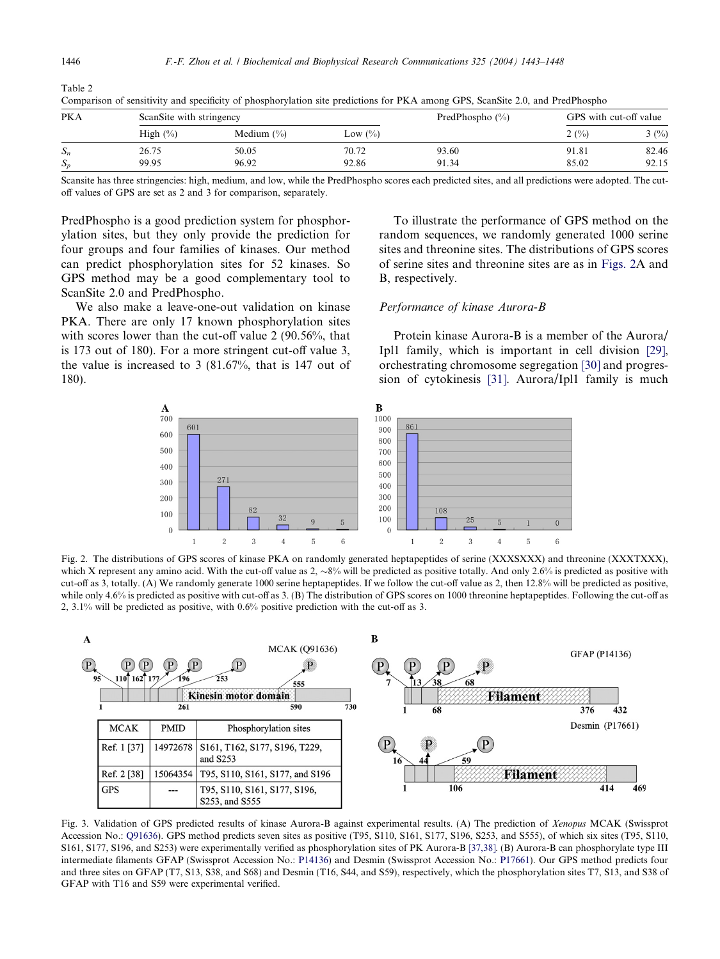| <b>PKA</b> | ScanSite with stringency |                |             | PredPhospho $(\% )$ | GPS with cut-off value |       |
|------------|--------------------------|----------------|-------------|---------------------|------------------------|-------|
|            | High $(\% )$             | Medium $(\% )$ | Low $(\% )$ |                     | 2(%)                   | 3(%)  |
| $S_n$      | 26.75                    | 50.05          | 70.72       | 93.60               | 91.81                  | 82.46 |
| $S_n$      | 99.95                    | 96.92          | 92.86       | 91.34               | 85.02                  | 92.15 |

Comparison of sensitivity and specificity of phosphorylation site predictions for PKA among GPS, ScanSite 2.0, and PredPhospho

Scansite has three stringencies: high, medium, and low, while the PredPhospho scores each predicted sites, and all predictions were adopted. The cutoff values of GPS are set as 2 and 3 for comparison, separately.

PredPhospho is a good prediction system for phosphorylation sites, but they only provide the prediction for four groups and four families of kinases. Our method can predict phosphorylation sites for 52 kinases. So GPS method may be a good complementary tool to ScanSite 2.0 and PredPhospho.

We also make a leave-one-out validation on kinase PKA. There are only 17 known phosphorylation sites with scores lower than the cut-off value 2 (90.56%, that is 173 out of 180). For a more stringent cut-off value 3, the value is increased to 3 (81.67%, that is 147 out of 180).

To illustrate the performance of GPS method on the random sequences, we randomly generated 1000 serine sites and threonine sites. The distributions of GPS scores of serine sites and threonine sites are as in Figs. 2A and B, respectively.

## Performance of kinase Aurora-B

Protein kinase Aurora-B is a member of the Aurora/ Ipl1 family, which is important in cell division [\[29\]](#page-5-0), orchestrating chromosome segregation [\[30\]](#page-5-0) and progression of cytokinesis [\[31\].](#page-5-0) Aurora/Ipl1 family is much



Fig. 2. The distributions of GPS scores of kinase PKA on randomly generated heptapeptides of serine (XXXSXXX) and threonine (XXXTXXX), which X represent any amino acid. With the cut-off value as  $2, \sim8\%$  will be predicted as positive totally. And only 2.6% is predicted as positive with cut-off as 3, totally. (A) We randomly generate 1000 serine heptapeptides. If we follow the cut-off value as 2, then 12.8% will be predicted as positive, while only 4.6% is predicted as positive with cut-off as 3. (B) The distribution of GPS scores on 1000 threonine heptapeptides. Following the cut-off as 2, 3.1% will be predicted as positive, with 0.6% positive prediction with the cut-off as 3.



Fig. 3. Validation of GPS predicted results of kinase Aurora-B against experimental results. (A) The prediction of Xenopus MCAK (Swissprot Accession No.: Q91636). GPS method predicts seven sites as positive (T95, S110, S161, S177, S196, S253, and S555), of which six sites (T95, S110, S161, S177, S196, and S253) were experimentally verified as phosphorylation sites of PK Aurora-B [\[37,38\].](#page-5-0) (B) Aurora-B can phosphorylate type III intermediate filaments GFAP (Swissprot Accession No.: P14136) and Desmin (Swissprot Accession No.: P17661). Our GPS method predicts four and three sites on GFAP (T7, S13, S38, and S68) and Desmin (T16, S44, and S59), respectively, which the phosphorylation sites T7, S13, and S38 of GFAP with T16 and S59 were experimental verified.

<span id="page-3-0"></span>Table 2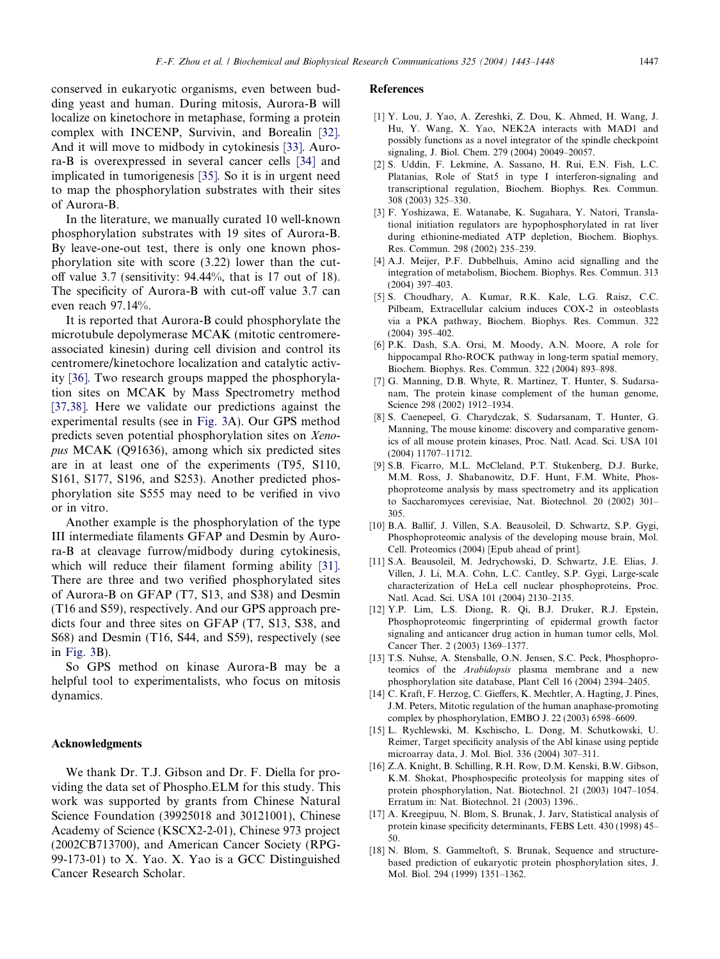<span id="page-4-0"></span>conserved in eukaryotic organisms, even between budding yeast and human. During mitosis, Aurora-B will localize on kinetochore in metaphase, forming a protein complex with INCENP, Survivin, and Borealin [\[32\].](#page-5-0) And it will move to midbody in cytokinesis [\[33\].](#page-5-0) Aurora-B is overexpressed in several cancer cells [\[34\]](#page-5-0) and implicated in tumorigenesis [\[35\]](#page-5-0). So it is in urgent need to map the phosphorylation substrates with their sites of Aurora-B.

In the literature, we manually curated 10 well-known phosphorylation substrates with 19 sites of Aurora-B. By leave-one-out test, there is only one known phosphorylation site with score (3.22) lower than the cutoff value 3.7 (sensitivity: 94.44%, that is 17 out of 18). The specificity of Aurora-B with cut-off value 3.7 can even reach 97.14%.

It is reported that Aurora-B could phosphorylate the microtubule depolymerase MCAK (mitotic centromereassociated kinesin) during cell division and control its centromere/kinetochore localization and catalytic activity [\[36\]](#page-5-0). Two research groups mapped the phosphorylation sites on MCAK by Mass Spectrometry method [\[37,38\].](#page-5-0) Here we validate our predictions against the experimental results (see in [Fig. 3](#page-3-0)A). Our GPS method predicts seven potential phosphorylation sites on Xenopus MCAK (Q91636), among which six predicted sites are in at least one of the experiments (T95, S110, S161, S177, S196, and S253). Another predicted phosphorylation site S555 may need to be verified in vivo or in vitro.

Another example is the phosphorylation of the type III intermediate filaments GFAP and Desmin by Aurora-B at cleavage furrow/midbody during cytokinesis, which will reduce their filament forming ability [\[31\].](#page-5-0) There are three and two verified phosphorylated sites of Aurora-B on GFAP (T7, S13, and S38) and Desmin (T16 and S59), respectively. And our GPS approach predicts four and three sites on GFAP (T7, S13, S38, and S68) and Desmin (T16, S44, and S59), respectively (see in [Fig. 3](#page-3-0)B).

So GPS method on kinase Aurora-B may be a helpful tool to experimentalists, who focus on mitosis dynamics.

### Acknowledgments

We thank Dr. T.J. Gibson and Dr. F. Diella for providing the data set of Phospho.ELM for this study. This work was supported by grants from Chinese Natural Science Foundation (39925018 and 30121001), Chinese Academy of Science (KSCX2-2-01), Chinese 973 project (2002CB713700), and American Cancer Society (RPG-99-173-01) to X. Yao. X. Yao is a GCC Distinguished Cancer Research Scholar.

#### References

- [1] Y. Lou, J. Yao, A. Zereshki, Z. Dou, K. Ahmed, H. Wang, J. Hu, Y. Wang, X. Yao, NEK2A interacts with MAD1 and possibly functions as a novel integrator of the spindle checkpoint signaling, J. Biol. Chem. 279 (2004) 20049–20057.
- [2] S. Uddin, F. Lekmine, A. Sassano, H. Rui, E.N. Fish, L.C. Platanias, Role of Stat5 in type I interferon-signaling and transcriptional regulation, Biochem. Biophys. Res. Commun. 308 (2003) 325–330.
- [3] F. Yoshizawa, E. Watanabe, K. Sugahara, Y. Natori, Translational initiation regulators are hypophosphorylated in rat liver during ethionine-mediated ATP depletion, Biochem. Biophys. Res. Commun. 298 (2002) 235–239.
- [4] A.J. Meijer, P.F. Dubbelhuis, Amino acid signalling and the integration of metabolism, Biochem. Biophys. Res. Commun. 313 (2004) 397–403.
- [5] S. Choudhary, A. Kumar, R.K. Kale, L.G. Raisz, C.C. Pilbeam, Extracellular calcium induces COX-2 in osteoblasts via a PKA pathway, Biochem. Biophys. Res. Commun. 322 (2004) 395–402.
- [6] P.K. Dash, S.A. Orsi, M. Moody, A.N. Moore, A role for hippocampal Rho-ROCK pathway in long-term spatial memory, Biochem. Biophys. Res. Commun. 322 (2004) 893–898.
- [7] G. Manning, D.B. Whyte, R. Martinez, T. Hunter, S. Sudarsanam, The protein kinase complement of the human genome, Science 298 (2002) 1912–1934.
- [8] S. Caenepeel, G. Charydczak, S. Sudarsanam, T. Hunter, G. Manning, The mouse kinome: discovery and comparative genomics of all mouse protein kinases, Proc. Natl. Acad. Sci. USA 101 (2004) 11707–11712.
- [9] S.B. Ficarro, M.L. McCleland, P.T. Stukenberg, D.J. Burke, M.M. Ross, J. Shabanowitz, D.F. Hunt, F.M. White, Phosphoproteome analysis by mass spectrometry and its application to Saccharomyces cerevisiae, Nat. Biotechnol. 20 (2002) 301– 305.
- [10] B.A. Ballif, J. Villen, S.A. Beausoleil, D. Schwartz, S.P. Gygi, Phosphoproteomic analysis of the developing mouse brain, Mol. Cell. Proteomics (2004) [Epub ahead of print].
- [11] S.A. Beausoleil, M. Jedrychowski, D. Schwartz, J.E. Elias, J. Villen, J. Li, M.A. Cohn, L.C. Cantley, S.P. Gygi, Large-scale characterization of HeLa cell nuclear phosphoproteins, Proc. Natl. Acad. Sci. USA 101 (2004) 2130–2135.
- [12] Y.P. Lim, L.S. Diong, R. Qi, B.J. Druker, R.J. Epstein, Phosphoproteomic fingerprinting of epidermal growth factor signaling and anticancer drug action in human tumor cells, Mol. Cancer Ther. 2 (2003) 1369–1377.
- [13] T.S. Nuhse, A. Stensballe, O.N. Jensen, S.C. Peck, Phosphoproteomics of the Arabidopsis plasma membrane and a new phosphorylation site database, Plant Cell 16 (2004) 2394–2405.
- [14] C. Kraft, F. Herzog, C. Gieffers, K. Mechtler, A. Hagting, J. Pines, J.M. Peters, Mitotic regulation of the human anaphase-promoting complex by phosphorylation, EMBO J. 22 (2003) 6598–6609.
- [15] L. Rychlewski, M. Kschischo, L. Dong, M. Schutkowski, U. Reimer, Target specificity analysis of the Abl kinase using peptide microarray data, J. Mol. Biol. 336 (2004) 307–311.
- [16] Z.A. Knight, B. Schilling, R.H. Row, D.M. Kenski, B.W. Gibson, K.M. Shokat, Phosphospecific proteolysis for mapping sites of protein phosphorylation, Nat. Biotechnol. 21 (2003) 1047–1054. Erratum in: Nat. Biotechnol. 21 (2003) 1396..
- [17] A. Kreegipuu, N. Blom, S. Brunak, J. Jarv, Statistical analysis of protein kinase specificity determinants, FEBS Lett. 430 (1998) 45– 50.
- [18] N. Blom, S. Gammeltoft, S. Brunak, Sequence and structurebased prediction of eukaryotic protein phosphorylation sites, J. Mol. Biol. 294 (1999) 1351–1362.